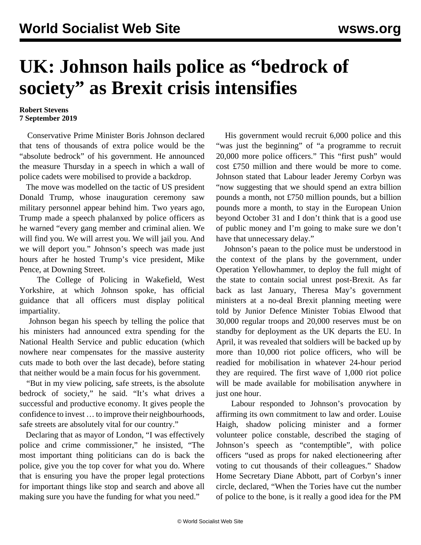## **UK: Johnson hails police as "bedrock of society" as Brexit crisis intensifies**

## **Robert Stevens 7 September 2019**

 Conservative Prime Minister Boris Johnson declared that tens of thousands of extra police would be the "absolute bedrock" of his government. He announced the measure Thursday in a speech in which a wall of police cadets were mobilised to provide a backdrop.

 The move was modelled on the tactic of US president Donald Trump, whose inauguration ceremony saw military personnel appear behind him. Two years ago, Trump made a speech phalanxed by police officers as he warned "every gang member and criminal alien. We will find you. We will arrest you. We will jail you. And we will deport you." Johnson's speech was made just hours after he hosted Trump's vice president, Mike Pence, at Downing Street.

 The College of Policing in Wakefield, West Yorkshire, at which Johnson spoke, has official guidance that all officers must display political impartiality.

 Johnson began his speech by telling the police that his ministers had announced extra spending for the National Health Service and public education (which nowhere near compensates for the massive austerity cuts made to both over the last decade), before stating that neither would be a main focus for his government.

 "But in my view policing, safe streets, is the absolute bedrock of society," he said. "It's what drives a successful and productive economy. It gives people the confidence to invest … to improve their neighbourhoods, safe streets are absolutely vital for our country."

 Declaring that as mayor of London, "I was effectively police and crime commissioner," he insisted, "The most important thing politicians can do is back the police, give you the top cover for what you do. Where that is ensuring you have the proper legal protections for important things like stop and search and above all making sure you have the funding for what you need."

 His government would recruit 6,000 police and this "was just the beginning" of "a programme to recruit 20,000 more police officers." This "first push" would cost £750 million and there would be more to come. Johnson stated that Labour leader Jeremy Corbyn was "now suggesting that we should spend an extra billion pounds a month, not £750 million pounds, but a billion pounds more a month, to stay in the European Union beyond October 31 and I don't think that is a good use of public money and I'm going to make sure we don't have that unnecessary delay."

 Johnson's paean to the police must be understood in the context of the plans by the government, under [Operation Yellowhammer,](/en/articles/2019/09/07/poli-s07.html) to deploy the full might of the state to contain social unrest post-Brexit. As far back as last January, Theresa May's government ministers at a no-deal Brexit planning meeting were told by Junior Defence Minister Tobias Elwood that [30,000 regular troops and 20,000 reserves](/en/articles/2019/01/08/brex-j08.html) must be on standby for deployment as the UK departs the EU. In April, it was revealed that soldiers will be backed up by more than 10,000 riot police officers, who will be readied for mobilisation in whatever 24-hour period they are required. The first wave of 1,000 riot police will be made available for mobilisation anywhere in just one hour.

 Labour responded to Johnson's provocation by affirming its own commitment to law and order. Louise Haigh, shadow policing minister and a former volunteer police constable, described the staging of Johnson's speech as "contemptible", with police officers "used as props for naked electioneering after voting to cut thousands of their colleagues." Shadow Home Secretary Diane Abbott, part of Corbyn's inner circle, declared, "When the Tories have cut the number of police to the bone, is it really a good idea for the PM